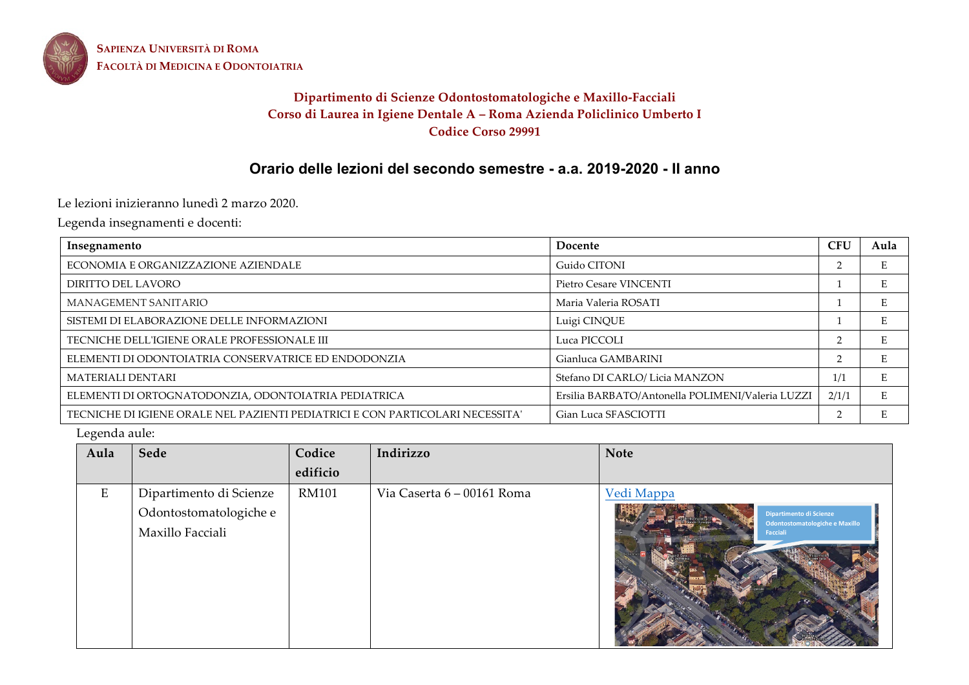

**SAPIENZA UNIVERSITÀ DI ROMA FACOLTÀ DI MEDICINA E ODONTOIATRIA**

## **Dipartimento di Scienze Odontostomatologiche e Maxillo-Facciali Corso di Laurea in Igiene Dentale A – Roma Azienda Policlinico Umberto I Codice Corso 29991**

# **Orario delle lezioni del secondo semestre - a.a. 2019-2020 - II anno**

Le lezioni inizieranno lunedì 2 marzo 2020.

Legenda insegnamenti e docenti:

| Insegnamento                                                                  | Docente                                          | <b>CFU</b> | Aula |
|-------------------------------------------------------------------------------|--------------------------------------------------|------------|------|
| ECONOMIA E ORGANIZZAZIONE AZIENDALE                                           | Guido CITONI                                     |            |      |
| DIRITTO DEL LAVORO                                                            | Pietro Cesare VINCENTI                           |            | E    |
| MANAGEMENT SANITARIO                                                          | Maria Valeria ROSATI                             |            |      |
| SISTEMI DI ELABORAZIONE DELLE INFORMAZIONI                                    | Luigi CINQUE                                     |            |      |
| TECNICHE DELL'IGIENE ORALE PROFESSIONALE III                                  | Luca PICCOLI                                     |            |      |
| ELEMENTI DI ODONTOIATRIA CONSERVATRICE ED ENDODONZIA                          | Gianluca GAMBARINI                               | $\sim$     |      |
| <b>MATERIALI DENTARI</b>                                                      | Stefano DI CARLO/ Licia MANZON                   | 1/1        | E    |
| ELEMENTI DI ORTOGNATODONZIA, ODONTOIATRIA PEDIATRICA                          | Ersilia BARBATO/Antonella POLIMENI/Valeria LUZZI | 2/1/1      | E    |
| TECNICHE DI IGIENE ORALE NEL PAZIENTI PEDIATRICI E CON PARTICOLARI NECESSITA' | Gian Luca SFASCIOTTI                             |            |      |

Legenda aule:

| Aula | Sede                                                                  | Codice<br>edificio | Indirizzo                  | <b>Note</b>                                                                                |
|------|-----------------------------------------------------------------------|--------------------|----------------------------|--------------------------------------------------------------------------------------------|
| E    | Dipartimento di Scienze<br>Odontostomatologiche e<br>Maxillo Facciali | <b>RM101</b>       | Via Caserta 6 – 00161 Roma | Vedi Mappa<br>Dipartimento di Scienze<br>Odontostomatologiche e Maxillo<br><b>Facciali</b> |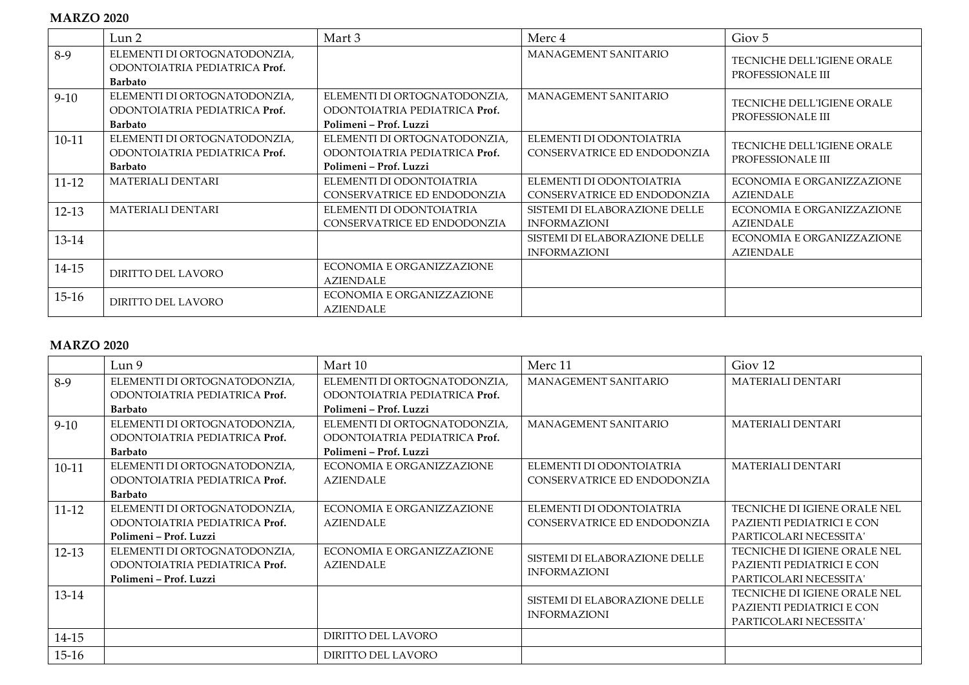## **MARZO 2020**

|           | Lun <sub>2</sub>                                                                | Mart 3                                                                                  | Merc 4                                                  | Giov <sub>5</sub>                                      |
|-----------|---------------------------------------------------------------------------------|-----------------------------------------------------------------------------------------|---------------------------------------------------------|--------------------------------------------------------|
| $8-9$     | ELEMENTI DI ORTOGNATODONZIA,<br>ODONTOIATRIA PEDIATRICA Prof.<br><b>Barbato</b> |                                                                                         | <b>MANAGEMENT SANITARIO</b>                             | TECNICHE DELL'IGIENE ORALE<br>PROFESSIONALE III        |
| $9-10$    | ELEMENTI DI ORTOGNATODONZIA,<br>ODONTOIATRIA PEDIATRICA Prof.<br><b>Barbato</b> | ELEMENTI DI ORTOGNATODONZIA,<br>ODONTOIATRIA PEDIATRICA Prof.<br>Polimeni – Prof. Luzzi | MANAGEMENT SANITARIO                                    | <b>TECNICHE DELL'IGIENE ORALE</b><br>PROFESSIONALE III |
| $10-11$   | ELEMENTI DI ORTOGNATODONZIA,<br>ODONTOIATRIA PEDIATRICA Prof.<br><b>Barbato</b> | ELEMENTI DI ORTOGNATODONZIA,<br>ODONTOIATRIA PEDIATRICA Prof.<br>Polimeni – Prof. Luzzi | ELEMENTI DI ODONTOIATRIA<br>CONSERVATRICE ED ENDODONZIA | TECNICHE DELL'IGIENE ORALE<br>PROFESSIONALE III        |
| $11 - 12$ | <b>MATERIALI DENTARI</b>                                                        | ELEMENTI DI ODONTOIATRIA<br>CONSERVATRICE ED ENDODONZIA                                 | ELEMENTI DI ODONTOIATRIA<br>CONSERVATRICE ED ENDODONZIA | ECONOMIA E ORGANIZZAZIONE<br><b>AZIENDALE</b>          |
| $12-13$   | <b>MATERIALI DENTARI</b>                                                        | ELEMENTI DI ODONTOIATRIA<br>CONSERVATRICE ED ENDODONZIA                                 | SISTEMI DI ELABORAZIONE DELLE<br><b>INFORMAZIONI</b>    | ECONOMIA E ORGANIZZAZIONE<br><b>AZIENDALE</b>          |
| 13-14     |                                                                                 |                                                                                         | SISTEMI DI ELABORAZIONE DELLE<br><b>INFORMAZIONI</b>    | ECONOMIA E ORGANIZZAZIONE<br><b>AZIENDALE</b>          |
| 14-15     | DIRITTO DEL LAVORO                                                              | ECONOMIA E ORGANIZZAZIONE<br><b>AZIENDALE</b>                                           |                                                         |                                                        |
| $15-16$   | DIRITTO DEL LAVORO                                                              | ECONOMIA E ORGANIZZAZIONE<br><b>AZIENDALE</b>                                           |                                                         |                                                        |

## **MARZO 2020**

|           | Lun <sub>9</sub>              | Mart 10                       | Merc 11                       | Giov <sub>12</sub>           |
|-----------|-------------------------------|-------------------------------|-------------------------------|------------------------------|
| $8-9$     | ELEMENTI DI ORTOGNATODONZIA,  | ELEMENTI DI ORTOGNATODONZIA,  | MANAGEMENT SANITARIO          | <b>MATERIALI DENTARI</b>     |
|           | ODONTOIATRIA PEDIATRICA Prof. | ODONTOIATRIA PEDIATRICA Prof. |                               |                              |
|           | <b>Barbato</b>                | Polimeni - Prof. Luzzi        |                               |                              |
| $9-10$    | ELEMENTI DI ORTOGNATODONZIA,  | ELEMENTI DI ORTOGNATODONZIA,  | MANAGEMENT SANITARIO          | <b>MATERIALI DENTARI</b>     |
|           | ODONTOIATRIA PEDIATRICA Prof. | ODONTOIATRIA PEDIATRICA Prof. |                               |                              |
|           | <b>Barbato</b>                | Polimeni – Prof. Luzzi        |                               |                              |
| $10-11$   | ELEMENTI DI ORTOGNATODONZIA,  | ECONOMIA E ORGANIZZAZIONE     | ELEMENTI DI ODONTOIATRIA      | <b>MATERIALI DENTARI</b>     |
|           | ODONTOIATRIA PEDIATRICA Prof. | <b>AZIENDALE</b>              | CONSERVATRICE ED ENDODONZIA   |                              |
|           | <b>Barbato</b>                |                               |                               |                              |
| $11 - 12$ | ELEMENTI DI ORTOGNATODONZIA,  | ECONOMIA E ORGANIZZAZIONE     | ELEMENTI DI ODONTOIATRIA      | TECNICHE DI IGIENE ORALE NEL |
|           | ODONTOIATRIA PEDIATRICA Prof. | <b>AZIENDALE</b>              | CONSERVATRICE ED ENDODONZIA   | PAZIENTI PEDIATRICI E CON    |
|           | Polimeni – Prof. Luzzi        |                               |                               | PARTICOLARI NECESSITA'       |
| $12-13$   | ELEMENTI DI ORTOGNATODONZIA,  | ECONOMIA E ORGANIZZAZIONE     | SISTEMI DI ELABORAZIONE DELLE | TECNICHE DI IGIENE ORALE NEL |
|           | ODONTOIATRIA PEDIATRICA Prof. | <b>AZIENDALE</b>              |                               | PAZIENTI PEDIATRICI E CON    |
|           | Polimeni – Prof. Luzzi        |                               | <b>INFORMAZIONI</b>           | PARTICOLARI NECESSITA'       |
| 13-14     |                               |                               | SISTEMI DI ELABORAZIONE DELLE | TECNICHE DI IGIENE ORALE NEL |
|           |                               |                               |                               | PAZIENTI PEDIATRICI E CON    |
|           |                               |                               | <b>INFORMAZIONI</b>           | PARTICOLARI NECESSITA'       |
| 14-15     |                               | DIRITTO DEL LAVORO            |                               |                              |
| $15-16$   |                               | DIRITTO DEL LAVORO            |                               |                              |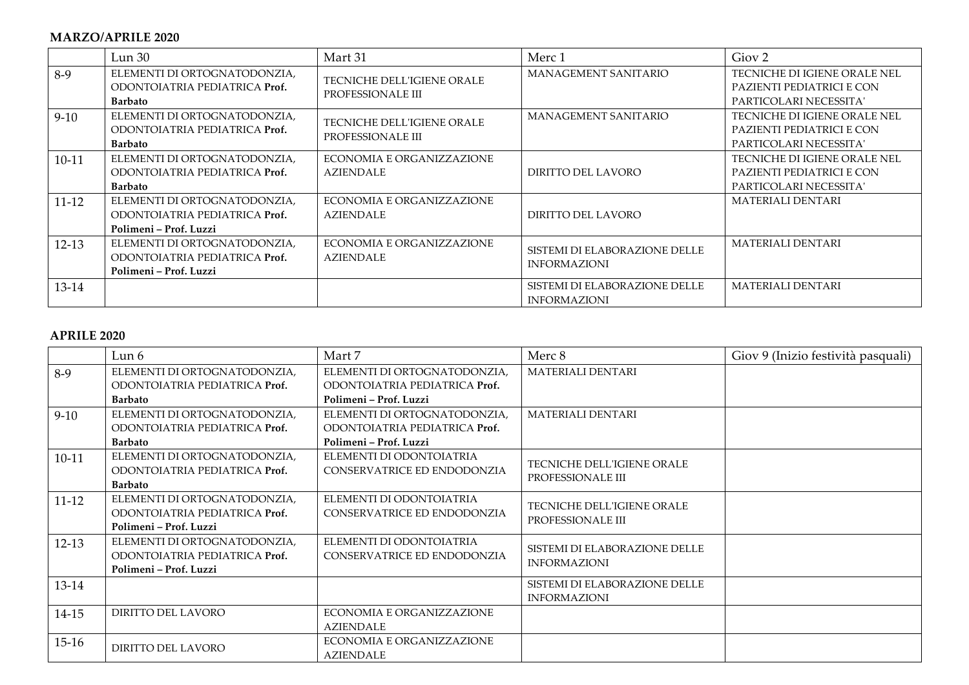#### **MARZO/APRILE 2020**

|           | Lun <sub>30</sub>                                                                       | Mart 31                                                | Merc 1                                               | Giov <sub>2</sub>                                                                   |
|-----------|-----------------------------------------------------------------------------------------|--------------------------------------------------------|------------------------------------------------------|-------------------------------------------------------------------------------------|
| $8-9$     | ELEMENTI DI ORTOGNATODONZIA,<br>ODONTOIATRIA PEDIATRICA Prof.<br><b>Barbato</b>         | <b>TECNICHE DELL'IGIENE ORALE</b><br>PROFESSIONALE III | MANAGEMENT SANITARIO                                 | TECNICHE DI IGIENE ORALE NEL<br>PAZIENTI PEDIATRICI E CON<br>PARTICOLARI NECESSITA' |
| $9-10$    | ELEMENTI DI ORTOGNATODONZIA,<br>ODONTOIATRIA PEDIATRICA Prof.<br><b>Barbato</b>         | TECNICHE DELL'IGIENE ORALE<br>PROFESSIONALE III        | MANAGEMENT SANITARIO                                 | TECNICHE DI IGIENE ORALE NEL<br>PAZIENTI PEDIATRICI E CON<br>PARTICOLARI NECESSITA' |
| $10-11$   | ELEMENTI DI ORTOGNATODONZIA,<br>ODONTOIATRIA PEDIATRICA Prof.<br><b>Barbato</b>         | ECONOMIA E ORGANIZZAZIONE<br>AZIENDALE                 | DIRITTO DEL LAVORO                                   | TECNICHE DI IGIENE ORALE NEL<br>PAZIENTI PEDIATRICI E CON<br>PARTICOLARI NECESSITA' |
| $11 - 12$ | ELEMENTI DI ORTOGNATODONZIA,<br>ODONTOIATRIA PEDIATRICA Prof.<br>Polimeni – Prof. Luzzi | ECONOMIA E ORGANIZZAZIONE<br>AZIENDALE                 | DIRITTO DEL LAVORO                                   | <b>MATERIALI DENTARI</b>                                                            |
| $12-13$   | ELEMENTI DI ORTOGNATODONZIA,<br>ODONTOIATRIA PEDIATRICA Prof.<br>Polimeni - Prof. Luzzi | ECONOMIA E ORGANIZZAZIONE<br><b>AZIENDALE</b>          | SISTEMI DI ELABORAZIONE DELLE<br><b>INFORMAZIONI</b> | <b>MATERIALI DENTARI</b>                                                            |
| 13-14     |                                                                                         |                                                        | SISTEMI DI ELABORAZIONE DELLE<br><b>INFORMAZIONI</b> | <b>MATERIALI DENTARI</b>                                                            |

#### **APRILE 2020**

|           | Lun 6                                                                                   | Mart 7                                                                                  | Merc 8                                               | Giov 9 (Inizio festività pasquali) |
|-----------|-----------------------------------------------------------------------------------------|-----------------------------------------------------------------------------------------|------------------------------------------------------|------------------------------------|
| 8-9       | ELEMENTI DI ORTOGNATODONZIA,<br>ODONTOIATRIA PEDIATRICA Prof.<br><b>Barbato</b>         | ELEMENTI DI ORTOGNATODONZIA,<br>ODONTOIATRIA PEDIATRICA Prof.<br>Polimeni – Prof. Luzzi | <b>MATERIALI DENTARI</b>                             |                                    |
| $9-10$    | ELEMENTI DI ORTOGNATODONZIA,<br>ODONTOIATRIA PEDIATRICA Prof.<br><b>Barbato</b>         | ELEMENTI DI ORTOGNATODONZIA,<br>ODONTOIATRIA PEDIATRICA Prof.<br>Polimeni – Prof. Luzzi | <b>MATERIALI DENTARI</b>                             |                                    |
| $10-11$   | ELEMENTI DI ORTOGNATODONZIA,<br>ODONTOIATRIA PEDIATRICA Prof.<br><b>Barbato</b>         | ELEMENTI DI ODONTOIATRIA<br>CONSERVATRICE ED ENDODONZIA                                 | TECNICHE DELL'IGIENE ORALE<br>PROFESSIONALE III      |                                    |
| $11 - 12$ | ELEMENTI DI ORTOGNATODONZIA,<br>ODONTOIATRIA PEDIATRICA Prof.<br>Polimeni – Prof. Luzzi | ELEMENTI DI ODONTOIATRIA<br>CONSERVATRICE ED ENDODONZIA                                 | TECNICHE DELL'IGIENE ORALE<br>PROFESSIONALE III      |                                    |
| $12-13$   | ELEMENTI DI ORTOGNATODONZIA,<br>ODONTOIATRIA PEDIATRICA Prof.<br>Polimeni – Prof. Luzzi | ELEMENTI DI ODONTOIATRIA<br>CONSERVATRICE ED ENDODONZIA                                 | SISTEMI DI ELABORAZIONE DELLE<br><b>INFORMAZIONI</b> |                                    |
| 13-14     |                                                                                         |                                                                                         | SISTEMI DI ELABORAZIONE DELLE<br><b>INFORMAZIONI</b> |                                    |
| $14 - 15$ | DIRITTO DEL LAVORO                                                                      | ECONOMIA E ORGANIZZAZIONE<br><b>AZIENDALE</b>                                           |                                                      |                                    |
| $15-16$   | DIRITTO DEL LAVORO                                                                      | ECONOMIA E ORGANIZZAZIONE<br><b>AZIENDALE</b>                                           |                                                      |                                    |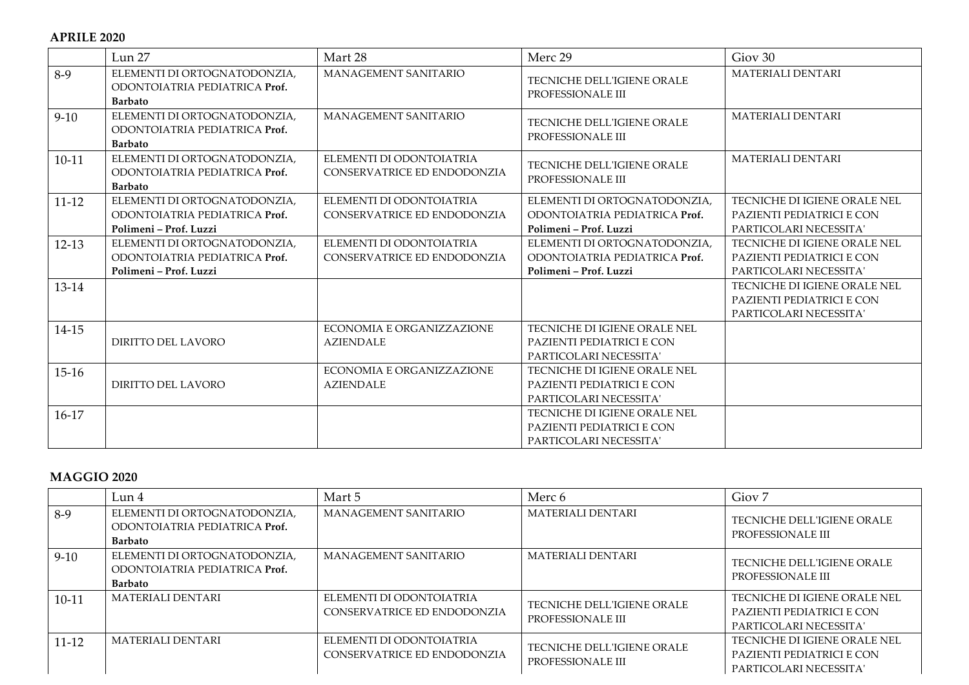|          | Lun 27                                                                                  | Mart 28                                                 | Merc 29                                                                                 | Giov <sub>30</sub>                                                                  |
|----------|-----------------------------------------------------------------------------------------|---------------------------------------------------------|-----------------------------------------------------------------------------------------|-------------------------------------------------------------------------------------|
| $8-9$    | ELEMENTI DI ORTOGNATODONZIA,<br>ODONTOIATRIA PEDIATRICA Prof.<br><b>Barbato</b>         | MANAGEMENT SANITARIO                                    | TECNICHE DELL'IGIENE ORALE<br>PROFESSIONALE III                                         | MATERIALI DENTARI                                                                   |
| $9 - 10$ | ELEMENTI DI ORTOGNATODONZIA,<br>ODONTOIATRIA PEDIATRICA Prof.<br><b>Barbato</b>         | MANAGEMENT SANITARIO                                    | TECNICHE DELL'IGIENE ORALE<br>PROFESSIONALE III                                         | <b>MATERIALI DENTARI</b>                                                            |
| $10-11$  | ELEMENTI DI ORTOGNATODONZIA,<br>ODONTOIATRIA PEDIATRICA Prof.<br><b>Barbato</b>         | ELEMENTI DI ODONTOIATRIA<br>CONSERVATRICE ED ENDODONZIA | TECNICHE DELL'IGIENE ORALE<br>PROFESSIONALE III                                         | MATERIALI DENTARI                                                                   |
| $11-12$  | ELEMENTI DI ORTOGNATODONZIA,<br>ODONTOIATRIA PEDIATRICA Prof.<br>Polimeni - Prof. Luzzi | ELEMENTI DI ODONTOIATRIA<br>CONSERVATRICE ED ENDODONZIA | ELEMENTI DI ORTOGNATODONZIA,<br>ODONTOIATRIA PEDIATRICA Prof.<br>Polimeni - Prof. Luzzi | TECNICHE DI IGIENE ORALE NEL<br>PAZIENTI PEDIATRICI E CON<br>PARTICOLARI NECESSITA' |
| $12-13$  | ELEMENTI DI ORTOGNATODONZIA,<br>ODONTOIATRIA PEDIATRICA Prof.<br>Polimeni - Prof. Luzzi | ELEMENTI DI ODONTOIATRIA<br>CONSERVATRICE ED ENDODONZIA | ELEMENTI DI ORTOGNATODONZIA.<br>ODONTOIATRIA PEDIATRICA Prof.<br>Polimeni - Prof. Luzzi | TECNICHE DI IGIENE ORALE NEL<br>PAZIENTI PEDIATRICI E CON<br>PARTICOLARI NECESSITA' |
| 13-14    |                                                                                         |                                                         |                                                                                         | TECNICHE DI IGIENE ORALE NEL<br>PAZIENTI PEDIATRICI E CON<br>PARTICOLARI NECESSITA' |
| 14-15    | DIRITTO DEL LAVORO                                                                      | ECONOMIA E ORGANIZZAZIONE<br><b>AZIENDALE</b>           | TECNICHE DI IGIENE ORALE NEL<br>PAZIENTI PEDIATRICI E CON<br>PARTICOLARI NECESSITA'     |                                                                                     |
| $15-16$  | DIRITTO DEL LAVORO                                                                      | ECONOMIA E ORGANIZZAZIONE<br><b>AZIENDALE</b>           | TECNICHE DI IGIENE ORALE NEL<br>PAZIENTI PEDIATRICI E CON<br>PARTICOLARI NECESSITA'     |                                                                                     |
| $16-17$  |                                                                                         |                                                         | TECNICHE DI IGIENE ORALE NEL<br>PAZIENTI PEDIATRICI E CON<br>PARTICOLARI NECESSITA'     |                                                                                     |

## **MAGGIO 2020**

|           | Lun 4                                                                           | Mart 5                                                  | Merc 6                                          | Giov <sub>7</sub>                                                                   |
|-----------|---------------------------------------------------------------------------------|---------------------------------------------------------|-------------------------------------------------|-------------------------------------------------------------------------------------|
| $8-9$     | ELEMENTI DI ORTOGNATODONZIA,<br>ODONTOJATRIA PEDIATRICA Prof.<br><b>Barbato</b> | <b>MANAGEMENT SANITARIO</b>                             | <b>MATERIALI DENTARI</b>                        | TECNICHE DELL'IGIENE ORALE<br>PROFESSIONALE III                                     |
| $9-10$    | ELEMENTI DI ORTOGNATODONZIA,<br>ODONTOIATRIA PEDIATRICA Prof.<br><b>Barbato</b> | MANAGEMENT SANITARIO                                    | <b>MATERIALI DENTARI</b>                        | TECNICHE DELL'IGIENE ORALE<br>PROFESSIONALE III                                     |
| $10-11$   | <b>MATERIALI DENTARI</b>                                                        | ELEMENTI DI ODONTOIATRIA<br>CONSERVATRICE ED ENDODONZIA | TECNICHE DELL'IGIENE ORALE<br>PROFESSIONALE III | TECNICHE DI IGIENE ORALE NEL<br>PAZIENTI PEDIATRICI E CON<br>PARTICOLARI NECESSITA' |
| $11 - 12$ | <b>MATERIALI DENTARI</b>                                                        | ELEMENTI DI ODONTOIATRIA<br>CONSERVATRICE ED ENDODONZIA | TECNICHE DELL'IGIENE ORALE<br>PROFESSIONALE III | TECNICHE DI IGIENE ORALE NEL<br>PAZIENTI PEDIATRICI E CON<br>PARTICOLARI NECESSITA' |